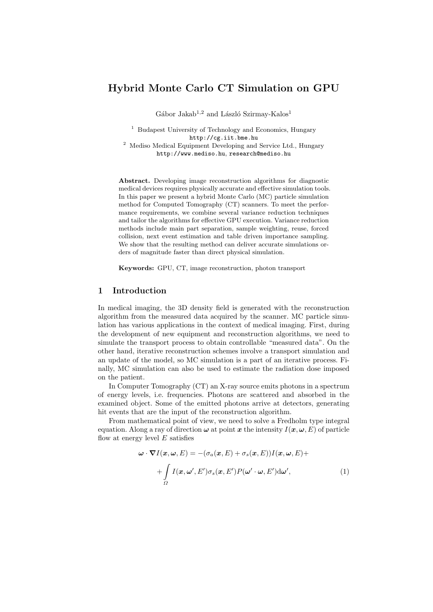# **Hybrid Monte Carlo CT Simulation on GPU**

Gábor Jakab<sup>1,2</sup> and László Szirmay-Kalos<sup>1</sup>

<sup>1</sup> Budapest University of Technology and Economics, Hungary http://cg.iit.bme.hu

<sup>2</sup> Mediso Medical Equipment Developing and Service Ltd., Hungary http://www.mediso.hu, research@mediso.hu

**Abstract.** Developing image reconstruction algorithms for diagnostic medical devices requires physically accurate and effective simulation tools. In this paper we present a hybrid Monte Carlo (MC) particle simulation method for Computed Tomography (CT) scanners. To meet the performance requirements, we combine several variance reduction techniques and tailor the algorithms for effective GPU execution. Variance reduction methods include main part separation, sample weighting, reuse, forced collision, next event estimation and table driven importance sampling. We show that the resulting method can deliver accurate simulations orders of magnitude faster than direct physical simulation.

**Keywords:** GPU, CT, image reconstruction, photon transport

## **1 Introduction**

In medical imaging, the 3D density field is generated with the reconstruction algorithm from the measured data acquired by the scanner. MC particle simulation has various applications in the context of medical imaging. First, during the development of new equipment and reconstruction algorithms, we need to simulate the transport process to obtain controllable "measured data". On the other hand, iterative reconstruction schemes involve a transport simulation and an update of the model, so MC simulation is a part of an iterative process. Finally, MC simulation can also be used to estimate the radiation dose imposed on the patient.

In Computer Tomography (CT) an X-ray source emits photons in a spectrum of energy levels, i.e. frequencies. Photons are scattered and absorbed in the examined object. Some of the emitted photons arrive at detectors, generating hit events that are the input of the reconstruction algorithm.

From mathematical point of view, we need to solve a Fredholm type integral equation. Along a ray of direction  $\omega$  at point  $x$  the intensity  $I(x, \omega, E)$  of particle flow at energy level *E* satisfies

$$
\boldsymbol{\omega} \cdot \boldsymbol{\nabla} I(\boldsymbol{x}, \boldsymbol{\omega}, E) = -(\sigma_a(\boldsymbol{x}, E) + \sigma_s(\boldsymbol{x}, E)) I(\boldsymbol{x}, \boldsymbol{\omega}, E) + \int_{\Omega} I(\boldsymbol{x}, \boldsymbol{\omega}', E') \sigma_s(\boldsymbol{x}, E') P(\boldsymbol{\omega}' \cdot \boldsymbol{\omega}, E') d\boldsymbol{\omega}', \tag{1}
$$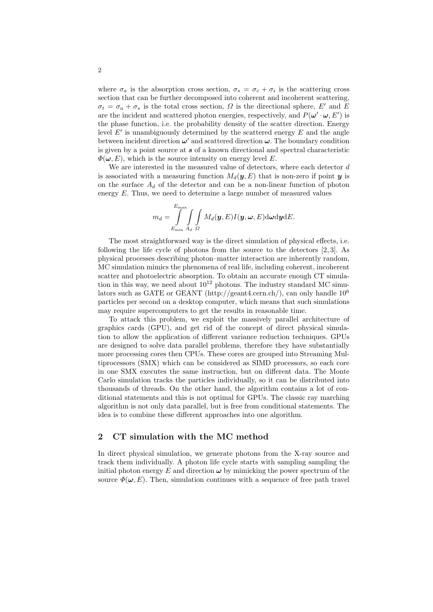where  $\sigma_a$  is the absorption cross section,  $\sigma_s = \sigma_c + \sigma_i$  is the scattering cross section that can be further decomposed into coherent and incoherent scattering,  $\sigma_t = \sigma_a + \sigma_s$  is the total cross section, *Ω* is the directional sphere, *E'* and *E* are the incident and scattered photon energies, respectively, and  $P(\omega' \cdot \omega, E')$  is the phase function, i.e. the probability density of the scatter direction. Energy level *E′* is unambiguously determined by the scattered energy *E* and the angle between incident direction *ω ′* and scattered direction *ω*. The boundary condition is given by a point source at *s* of a known directional and spectral characteristic  $\Phi(\omega, E)$ , which is the source intensity on energy level *E*.

We are interested in the measured value of detectors, where each detector *d* is associated with a measuring function  $M_d(y, E)$  that is non-zero if point *y* is on the surface  $A_d$  of the detector and can be a non-linear function of photon energy *E*. Thus, we need to determine a large number of measured values

$$
m_d = \int\limits_{E_{\rm min}}^{E_{\rm max}} \int\limits_{A_d} \int\limits_{\Omega} M_d(\mathbf{y}, E) I(\mathbf{y}, \boldsymbol{\omega}, E) \mathrm{d} \boldsymbol{\omega} \mathrm{d} \mathbf{y} \mathrm{d} E.
$$

The most straightforward way is the direct simulation of physical effects, i.e. following the life cycle of photons from the source to the detectors [2, 3]. As physical processes describing photon–matter interaction are inherently random, MC simulation mimics the phenomena of real life, including coherent, incoherent scatter and photoelectric absorption. To obtain an accurate enough CT simulation in this way, we need about  $10^{12}$  photons. The industry standard MC simulators such as GATE or GEANT (http://geant4.cern.ch/), can only handle  $10^6$ particles per second on a desktop computer, which means that such simulations may require supercomputers to get the results in reasonable time.

To attack this problem, we exploit the massively parallel architecture of graphics cards (GPU), and get rid of the concept of direct physical simulation to allow the application of different variance reduction techniques. GPUs are designed to solve data parallel problems, therefore they have substantially more processing cores then CPUs. These cores are grouped into Streaming Multiprocessors (SMX) which can be considered as SIMD processors, so each core in one SMX executes the same instruction, but on different data. The Monte Carlo simulation tracks the particles individually, so it can be distributed into thousands of threads. On the other hand, the algorithm contains a lot of conditional statements and this is not optimal for GPUs. The classic ray marching algorithm is not only data parallel, but is free from conditional statements. The idea is to combine these different approaches into one algorithm.

### **2 CT simulation with the MC method**

In direct physical simulation, we generate photons from the X-ray source and track them individually. A photon life cycle starts with sampling sampling the initial photon energy  $E$  and direction  $\omega$  by mimicking the power spectrum of the source  $\Phi(\omega, E)$ . Then, simulation continues with a sequence of free path travel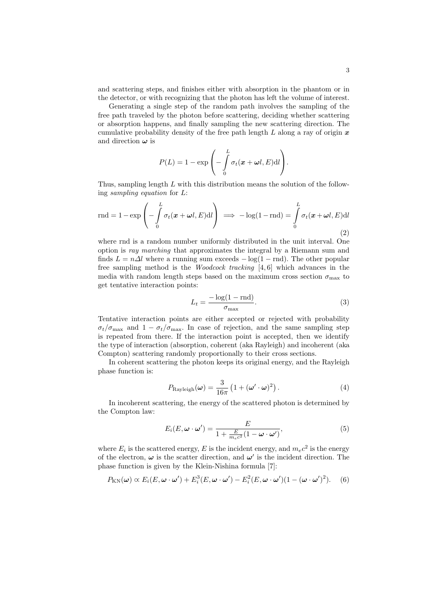and scattering steps, and finishes either with absorption in the phantom or in the detector, or with recognizing that the photon has left the volume of interest.

Generating a single step of the random path involves the sampling of the free path traveled by the photon before scattering, deciding whether scattering or absorption happens, and finally sampling the new scattering direction. The cumulative probability density of the free path length *L* along a ray of origin *x* and direction *ω* is

$$
P(L) = 1 - \exp\left(-\int\limits_0^L \sigma_t(\mathbf{x} + \boldsymbol{\omega} l, E) \mathrm{d}l\right).
$$

Thus, sampling length *L* with this distribution means the solution of the following *sampling equation* for *L*:

$$
\text{rnd} = 1 - \exp\left(-\int_{0}^{L} \sigma_t(\mathbf{x} + \boldsymbol{\omega} l, E) \, \text{d}l\right) \implies -\log(1 - \text{rnd}) = \int_{0}^{L} \sigma_t(\mathbf{x} + \boldsymbol{\omega} l, E) \, \text{d}l
$$
\n(2)

where rnd is a random number uniformly distributed in the unit interval. One option is *ray marching* that approximates the integral by a Riemann sum and finds  $L = n\Delta l$  where a running sum exceeds  $-\log(1 - \text{rnd})$ . The other popular free sampling method is the *Woodcock tracking* [4, 6] which advances in the media with random length steps based on the maximum cross section  $\sigma_{\text{max}}$  to get tentative interaction points:

$$
L_t = \frac{-\log(1 - \text{rnd})}{\sigma_{\text{max}}}.
$$
\n(3)

Tentative interaction points are either accepted or rejected with probability  $\sigma_t/\sigma_{\text{max}}$  and  $1 - \sigma_t/\sigma_{\text{max}}$ . In case of rejection, and the same sampling step is repeated from there. If the interaction point is accepted, then we identify the type of interaction (absorption, coherent (aka Rayleigh) and incoherent (aka Compton) scattering randomly proportionally to their cross sections.

In coherent scattering the photon keeps its original energy, and the Rayleigh phase function is:

$$
P_{\text{Rayleigh}}(\boldsymbol{\omega}) = \frac{3}{16\pi} \left( 1 + (\boldsymbol{\omega}' \cdot \boldsymbol{\omega})^2 \right). \tag{4}
$$

In incoherent scattering, the energy of the scattered photon is determined by the Compton law:

$$
E_i(E,\omega\cdot\omega')=\frac{E}{1+\frac{E}{m_ec^2}(1-\omega\cdot\omega')},\qquad(5)
$$

where  $E_i$  is the scattered energy,  $E$  is the incident energy, and  $m_ec^2$  is the energy of the electron,  $\omega$  is the scatter direction, and  $\omega'$  is the incident direction. The phase function is given by the Klein-Nishina formula [7]:

$$
P_{\text{KN}}(\boldsymbol{\omega}) \propto E_i(E, \boldsymbol{\omega} \cdot \boldsymbol{\omega}') + E_i^3(E, \boldsymbol{\omega} \cdot \boldsymbol{\omega}') - E_i^2(E, \boldsymbol{\omega} \cdot \boldsymbol{\omega}') (1 - (\boldsymbol{\omega} \cdot \boldsymbol{\omega}')^2). \tag{6}
$$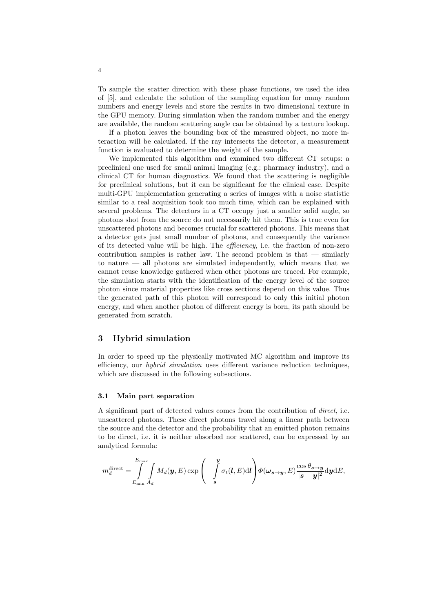To sample the scatter direction with these phase functions, we used the idea of [5], and calculate the solution of the sampling equation for many random numbers and energy levels and store the results in two dimensional texture in the GPU memory. During simulation when the random number and the energy are available, the random scattering angle can be obtained by a texture lookup.

If a photon leaves the bounding box of the measured object, no more interaction will be calculated. If the ray intersects the detector, a measurement function is evaluated to determine the weight of the sample.

We implemented this algorithm and examined two different CT setups: a preclinical one used for small animal imaging (e.g.: pharmacy industry), and a clinical CT for human diagnostics. We found that the scattering is negligible for preclinical solutions, but it can be significant for the clinical case. Despite multi-GPU implementation generating a series of images with a noise statistic similar to a real acquisition took too much time, which can be explained with several problems. The detectors in a CT occupy just a smaller solid angle, so photons shot from the source do not necessarily hit them. This is true even for unscattered photons and becomes crucial for scattered photons. This means that a detector gets just small number of photons, and consequently the variance of its detected value will be high. The *efficiency*, i.e. the fraction of non-zero contribution samples is rather law. The second problem is that — similarly to nature — all photons are simulated independently, which means that we cannot reuse knowledge gathered when other photons are traced. For example, the simulation starts with the identification of the energy level of the source photon since material properties like cross sections depend on this value. Thus the generated path of this photon will correspond to only this initial photon energy, and when another photon of different energy is born, its path should be generated from scratch.

## **3 Hybrid simulation**

In order to speed up the physically motivated MC algorithm and improve its efficiency, our *hybrid simulation* uses different variance reduction techniques, which are discussed in the following subsections.

### **3.1 Main part separation**

A significant part of detected values comes from the contribution of *direct*, i.e. unscattered photons. These direct photons travel along a linear path between the source and the detector and the probability that an emitted photon remains to be direct, i.e. it is neither absorbed nor scattered, can be expressed by an analytical formula:

$$
m_d^{\text{direct}} = \int\limits_{E_{\text{min}}}^{E_{\text{max}}} \int\limits_{A_d} M_d(\boldsymbol{y}, E) \exp\left(-\int\limits_s^{\boldsymbol{y}} \sigma_t(\boldsymbol{l}, E) \mathrm{d}\boldsymbol{l}\right) \Phi(\boldsymbol{\omega}_{\boldsymbol{s}\to\boldsymbol{y}}, E) \frac{\cos \theta_{\boldsymbol{s}\to\boldsymbol{y}}}{|\boldsymbol{s}-\boldsymbol{y}|^2} \mathrm{d}\boldsymbol{y} \mathrm{d}E,
$$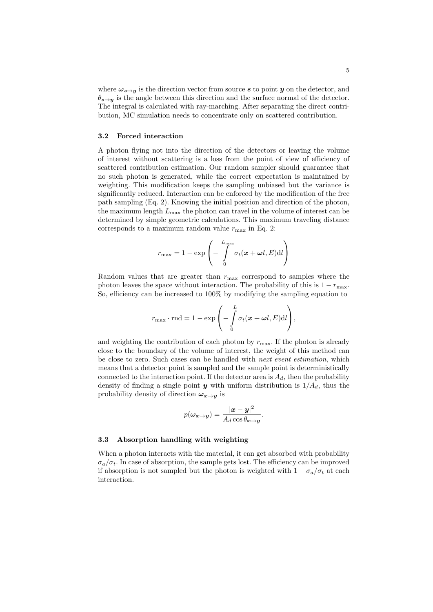where  $\omega_{s\rightarrow y}$  is the direction vector from source *s* to point *y* on the detector, and  $\theta_{s\rightarrow y}$  is the angle between this direction and the surface normal of the detector. The integral is calculated with ray-marching. After separating the direct contribution, MC simulation needs to concentrate only on scattered contribution.

#### **3.2 Forced interaction**

A photon flying not into the direction of the detectors or leaving the volume of interest without scattering is a loss from the point of view of efficiency of scattered contribution estimation. Our random sampler should guarantee that no such photon is generated, while the correct expectation is maintained by weighting. This modification keeps the sampling unbiased but the variance is significantly reduced. Interaction can be enforced by the modification of the free path sampling (Eq. 2). Knowing the initial position and direction of the photon, the maximum length  $L_{\text{max}}$  the photon can travel in the volume of interest can be determined by simple geometric calculations. This maximum traveling distance corresponds to a maximum random value  $r_{\text{max}}$  in Eq. 2:

$$
r_{\max} = 1 - \exp\left(-\int_{0}^{L_{\max}} \sigma_t(\mathbf{x} + \boldsymbol{\omega} l, E) \mathrm{d}l\right)
$$

Random values that are greater than  $r_{\text{max}}$  correspond to samples where the photon leaves the space without interaction. The probability of this is  $1 - r_{\text{max}}$ . So, efficiency can be increased to 100% by modifying the sampling equation to

$$
r_{\max} \cdot \mathrm{rnd} = 1 - \exp\left(-\int\limits_0^L \sigma_t(\mathbf{x} + \boldsymbol{\omega} \mathbf{l}, E) \mathrm{d}\mathbf{l}\right),\,
$$

and weighting the contribution of each photon by  $r_{\text{max}}$ . If the photon is already close to the boundary of the volume of interest, the weight of this method can be close to zero. Such cases can be handled with *next event estimation*, which means that a detector point is sampled and the sample point is deterministically connected to the interaction point. If the detector area is  $A_d$ , then the probability density of finding a single point  $y$  with uniform distribution is  $1/A_d$ , thus the probability density of direction  $\omega_{x\rightarrow y}$  is

$$
p(\boldsymbol{\omega}_{\boldsymbol{x}\to\boldsymbol{y}}) = \frac{|\boldsymbol{x}-\boldsymbol{y}|^2}{A_d\cos\theta_{\boldsymbol{x}\to\boldsymbol{y}}}.
$$

#### **3.3 Absorption handling with weighting**

When a photon interacts with the material, it can get absorbed with probability  $\sigma_a/\sigma_t$ . In case of absorption, the sample gets lost. The efficiency can be improved if absorption is not sampled but the photon is weighted with  $1 - \sigma_a/\sigma_t$  at each interaction.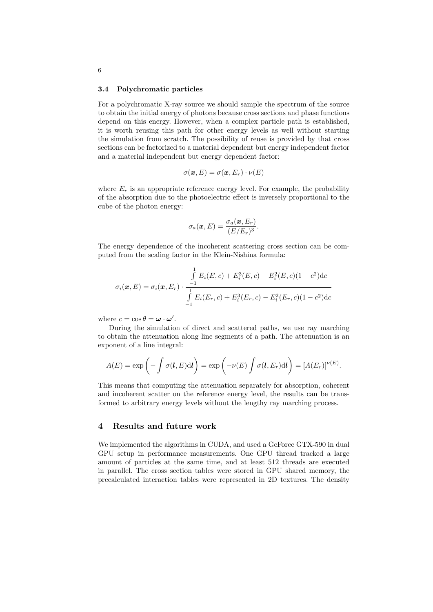#### **3.4 Polychromatic particles**

For a polychromatic X-ray source we should sample the spectrum of the source to obtain the initial energy of photons because cross sections and phase functions depend on this energy. However, when a complex particle path is established, it is worth reusing this path for other energy levels as well without starting the simulation from scratch. The possibility of reuse is provided by that cross sections can be factorized to a material dependent but energy independent factor and a material independent but energy dependent factor:

$$
\sigma(\boldsymbol{x},E)=\sigma(\boldsymbol{x},E_r)\cdot\nu(E)
$$

where  $E_r$  is an appropriate reference energy level. For example, the probability of the absorption due to the photoelectric effect is inversely proportional to the cube of the photon energy:

$$
\sigma_a(\boldsymbol{x},E) = \frac{\sigma_a(\boldsymbol{x},E_r)}{(E/E_r)^3}.
$$

The energy dependence of the incoherent scattering cross section can be computed from the scaling factor in the Klein-Nishina formula:

$$
\sigma_i(\mathbf{x}, E) = \sigma_i(\mathbf{x}, E_r) \cdot \frac{\int_{-1}^{1} E_i(E, c) + E_i^3(E, c) - E_i^2(E, c)(1 - c^2) \, \mathrm{d}c}{\int_{-1}^{1} E_i(E_r, c) + E_i^3(E_r, c) - E_i^2(E_r, c)(1 - c^2) \, \mathrm{d}c}
$$

where  $c = \cos \theta = \omega \cdot \omega'$ .

During the simulation of direct and scattered paths, we use ray marching to obtain the attenuation along line segments of a path. The attenuation is an exponent of a line integral:

$$
A(E) = \exp\left(-\int \sigma(l, E) \mathrm{d}l\right) = \exp\left(-\nu(E) \int \sigma(l, E_r) \mathrm{d}l\right) = [A(E_r)]^{\nu(E)}.
$$

This means that computing the attenuation separately for absorption, coherent and incoherent scatter on the reference energy level, the results can be transformed to arbitrary energy levels without the lengthy ray marching process.

# **4 Results and future work**

We implemented the algorithms in CUDA, and used a GeForce GTX-590 in dual GPU setup in performance measurements. One GPU thread tracked a large amount of particles at the same time, and at least 512 threads are executed in parallel. The cross section tables were stored in GPU shared memory, the precalculated interaction tables were represented in 2D textures. The density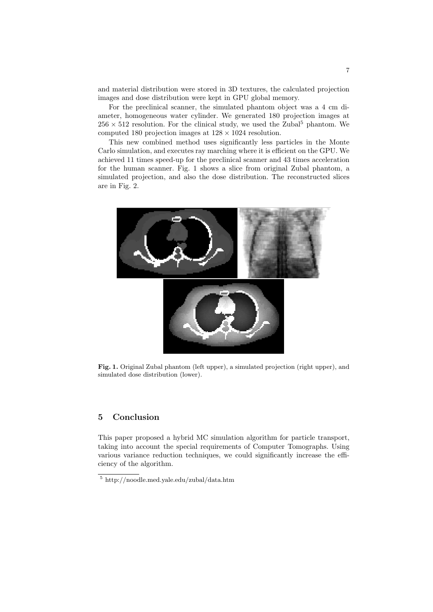and material distribution were stored in 3D textures, the calculated projection images and dose distribution were kept in GPU global memory.

For the preclinical scanner, the simulated phantom object was a 4 cm diameter, homogeneous water cylinder. We generated 180 projection images at  $256 \times 512$  resolution. For the clinical study, we used the Zubal<sup>5</sup> phantom. We computed 180 projection images at 128 *×* 1024 resolution.

This new combined method uses significantly less particles in the Monte Carlo simulation, and executes ray marching where it is efficient on the GPU. We achieved 11 times speed-up for the preclinical scanner and 43 times acceleration for the human scanner. Fig. 1 shows a slice from original Zubal phantom, a simulated projection, and also the dose distribution. The reconstructed slices are in Fig. 2.



**Fig. 1.** Original Zubal phantom (left upper), a simulated projection (right upper), and simulated dose distribution (lower).

# **5 Conclusion**

This paper proposed a hybrid MC simulation algorithm for particle transport, taking into account the special requirements of Computer Tomographs. Using various variance reduction techniques, we could significantly increase the efficiency of the algorithm.

<sup>5</sup> http://noodle.med.yale.edu/zubal/data.htm